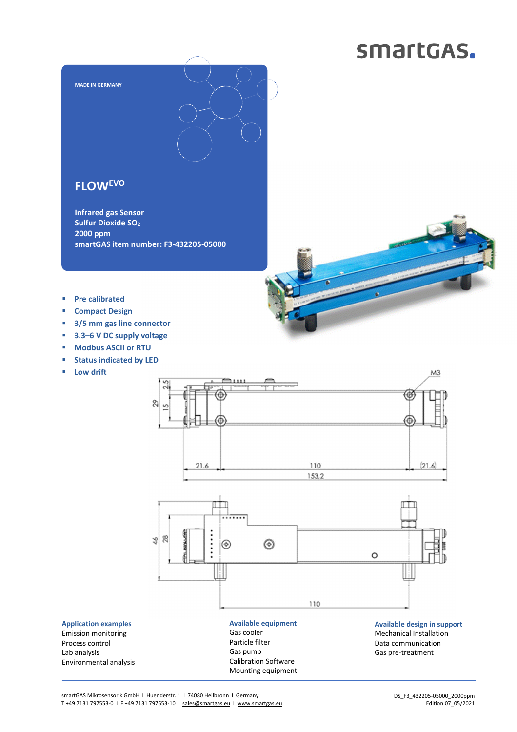# smartGAS.



# **FLOWEVO**

**Infrared gas Sensor Sulfur Dioxide SO<sup>2</sup> 2000 ppm smartGAS item number: F3-432205-05000** 

- **Pre calibrated**
- **Compact Design**
- **3/5 mm gas line connector**
- **3.3–6 V DC supply voltage**
- **Modbus ASCII or RTU**
- **status indicated by LED**
- **Low drift**



**Application examples**  Emission monitoring Process control Lab analysis Environmental analysis Particle filter Gas pump Calibration Software Mounting equipment Data communication Gas pre-treatment